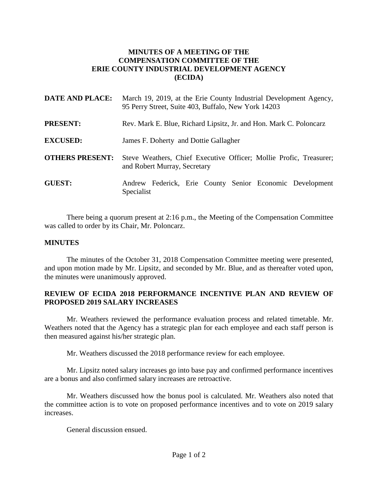## **MINUTES OF A MEETING OF THE COMPENSATION COMMITTEE OF THE ERIE COUNTY INDUSTRIAL DEVELOPMENT AGENCY (ECIDA)**

| <b>DATE AND PLACE:</b> | March 19, 2019, at the Erie County Industrial Development Agency,<br>95 Perry Street, Suite 403, Buffalo, New York 14203 |
|------------------------|--------------------------------------------------------------------------------------------------------------------------|
| <b>PRESENT:</b>        | Rev. Mark E. Blue, Richard Lipsitz, Jr. and Hon. Mark C. Poloncarz                                                       |
| <b>EXCUSED:</b>        | James F. Doherty and Dottie Gallagher                                                                                    |
| <b>OTHERS PRESENT:</b> | Steve Weathers, Chief Executive Officer; Mollie Profic, Treasurer;<br>and Robert Murray, Secretary                       |
| <b>GUEST:</b>          | Andrew Federick, Erie County Senior Economic Development<br>Specialist                                                   |

There being a quorum present at 2:16 p.m., the Meeting of the Compensation Committee was called to order by its Chair, Mr. Poloncarz.

## **MINUTES**

The minutes of the October 31, 2018 Compensation Committee meeting were presented, and upon motion made by Mr. Lipsitz, and seconded by Mr. Blue, and as thereafter voted upon, the minutes were unanimously approved.

## **REVIEW OF ECIDA 2018 PERFORMANCE INCENTIVE PLAN AND REVIEW OF PROPOSED 2019 SALARY INCREASES**

Mr. Weathers reviewed the performance evaluation process and related timetable. Mr. Weathers noted that the Agency has a strategic plan for each employee and each staff person is then measured against his/her strategic plan.

Mr. Weathers discussed the 2018 performance review for each employee.

Mr. Lipsitz noted salary increases go into base pay and confirmed performance incentives are a bonus and also confirmed salary increases are retroactive.

Mr. Weathers discussed how the bonus pool is calculated. Mr. Weathers also noted that the committee action is to vote on proposed performance incentives and to vote on 2019 salary increases.

General discussion ensued.